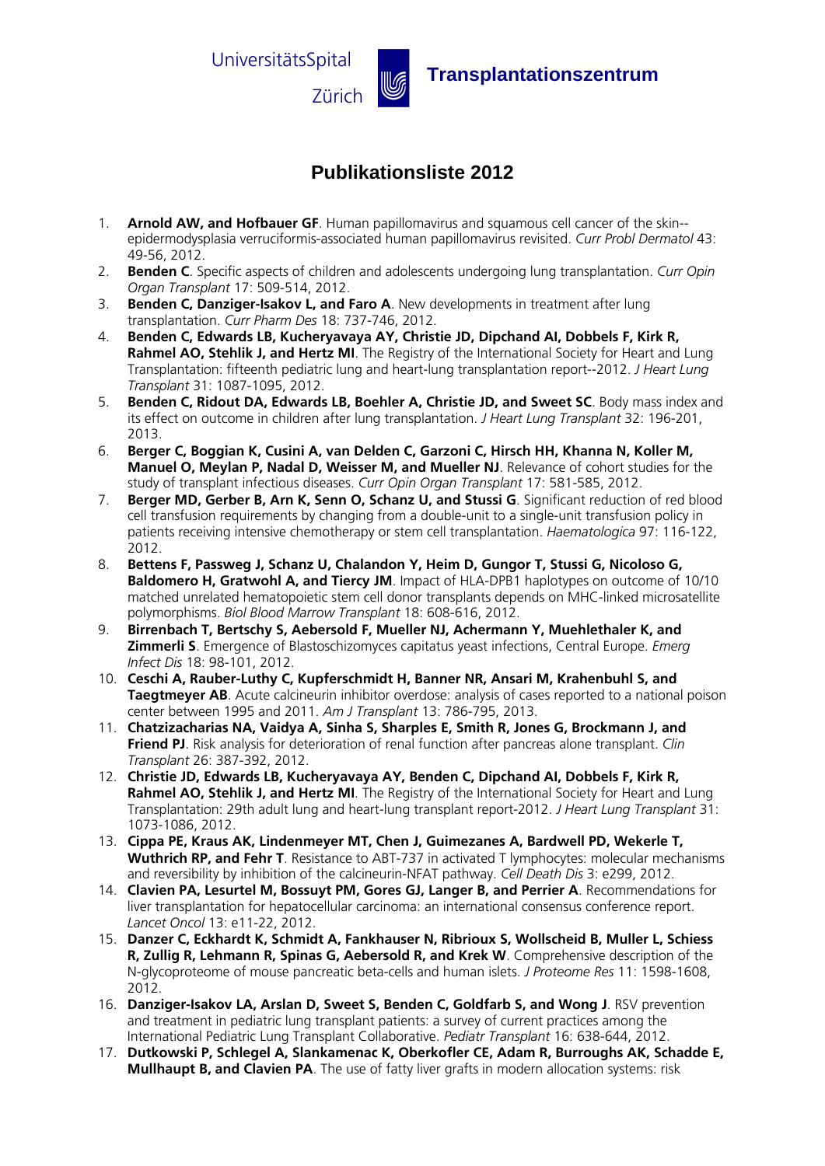

## **Publikationsliste 2012**

- 1. **Arnold AW, and Hofbauer GF**. Human papillomavirus and squamous cell cancer of the skin- epidermodysplasia verruciformis-associated human papillomavirus revisited. *Curr Probl Dermatol* 43: 49-56, 2012.
- 2. **Benden C**. Specific aspects of children and adolescents undergoing lung transplantation. *Curr Opin Organ Transplant* 17: 509-514, 2012.
- 3. **Benden C, Danziger-Isakov L, and Faro A**. New developments in treatment after lung transplantation. *Curr Pharm Des* 18: 737-746, 2012.
- 4. **Benden C, Edwards LB, Kucheryavaya AY, Christie JD, Dipchand AI, Dobbels F, Kirk R, Rahmel AO, Stehlik J, and Hertz MI**. The Registry of the International Society for Heart and Lung Transplantation: fifteenth pediatric lung and heart-lung transplantation report--2012. *J Heart Lung Transplant* 31: 1087-1095, 2012.
- 5. **Benden C, Ridout DA, Edwards LB, Boehler A, Christie JD, and Sweet SC**. Body mass index and its effect on outcome in children after lung transplantation. *J Heart Lung Transplant* 32: 196-201, 2013.
- 6. **Berger C, Boggian K, Cusini A, van Delden C, Garzoni C, Hirsch HH, Khanna N, Koller M, Manuel O, Meylan P, Nadal D, Weisser M, and Mueller NJ**. Relevance of cohort studies for the study of transplant infectious diseases. *Curr Opin Organ Transplant* 17: 581-585, 2012.
- 7. **Berger MD, Gerber B, Arn K, Senn O, Schanz U, and Stussi G**. Significant reduction of red blood cell transfusion requirements by changing from a double-unit to a single-unit transfusion policy in patients receiving intensive chemotherapy or stem cell transplantation. *Haematologica* 97: 116-122, 2012.
- 8. **Bettens F, Passweg J, Schanz U, Chalandon Y, Heim D, Gungor T, Stussi G, Nicoloso G, Baldomero H, Gratwohl A, and Tiercy JM**. Impact of HLA-DPB1 haplotypes on outcome of 10/10 matched unrelated hematopoietic stem cell donor transplants depends on MHC-linked microsatellite polymorphisms. *Biol Blood Marrow Transplant* 18: 608-616, 2012.
- 9. **Birrenbach T, Bertschy S, Aebersold F, Mueller NJ, Achermann Y, Muehlethaler K, and Zimmerli S**. Emergence of Blastoschizomyces capitatus yeast infections, Central Europe. *Emerg Infect Dis* 18: 98-101, 2012.
- 10. **Ceschi A, Rauber-Luthy C, Kupferschmidt H, Banner NR, Ansari M, Krahenbuhl S, and Taegtmeyer AB**. Acute calcineurin inhibitor overdose: analysis of cases reported to a national poison center between 1995 and 2011. *Am J Transplant* 13: 786-795, 2013.
- 11. **Chatzizacharias NA, Vaidya A, Sinha S, Sharples E, Smith R, Jones G, Brockmann J, and Friend PJ**. Risk analysis for deterioration of renal function after pancreas alone transplant. *Clin Transplant* 26: 387-392, 2012.
- 12. **Christie JD, Edwards LB, Kucheryavaya AY, Benden C, Dipchand AI, Dobbels F, Kirk R, Rahmel AO, Stehlik J, and Hertz MI**. The Registry of the International Society for Heart and Lung Transplantation: 29th adult lung and heart-lung transplant report-2012. *J Heart Lung Transplant* 31: 1073-1086, 2012.
- 13. **Cippa PE, Kraus AK, Lindenmeyer MT, Chen J, Guimezanes A, Bardwell PD, Wekerle T, Wuthrich RP, and Fehr T**. Resistance to ABT-737 in activated T lymphocytes: molecular mechanisms and reversibility by inhibition of the calcineurin-NFAT pathway. *Cell Death Dis* 3: e299, 2012.
- 14. **Clavien PA, Lesurtel M, Bossuyt PM, Gores GJ, Langer B, and Perrier A**. Recommendations for liver transplantation for hepatocellular carcinoma: an international consensus conference report. *Lancet Oncol* 13: e11-22, 2012.
- 15. **Danzer C, Eckhardt K, Schmidt A, Fankhauser N, Ribrioux S, Wollscheid B, Muller L, Schiess R, Zullig R, Lehmann R, Spinas G, Aebersold R, and Krek W**. Comprehensive description of the N-glycoproteome of mouse pancreatic beta-cells and human islets. *J Proteome Res* 11: 1598-1608, 2012.
- 16. **Danziger-Isakov LA, Arslan D, Sweet S, Benden C, Goldfarb S, and Wong J**. RSV prevention and treatment in pediatric lung transplant patients: a survey of current practices among the International Pediatric Lung Transplant Collaborative. *Pediatr Transplant* 16: 638-644, 2012.
- 17. **Dutkowski P, Schlegel A, Slankamenac K, Oberkofler CE, Adam R, Burroughs AK, Schadde E, Mullhaupt B, and Clavien PA**. The use of fatty liver grafts in modern allocation systems: risk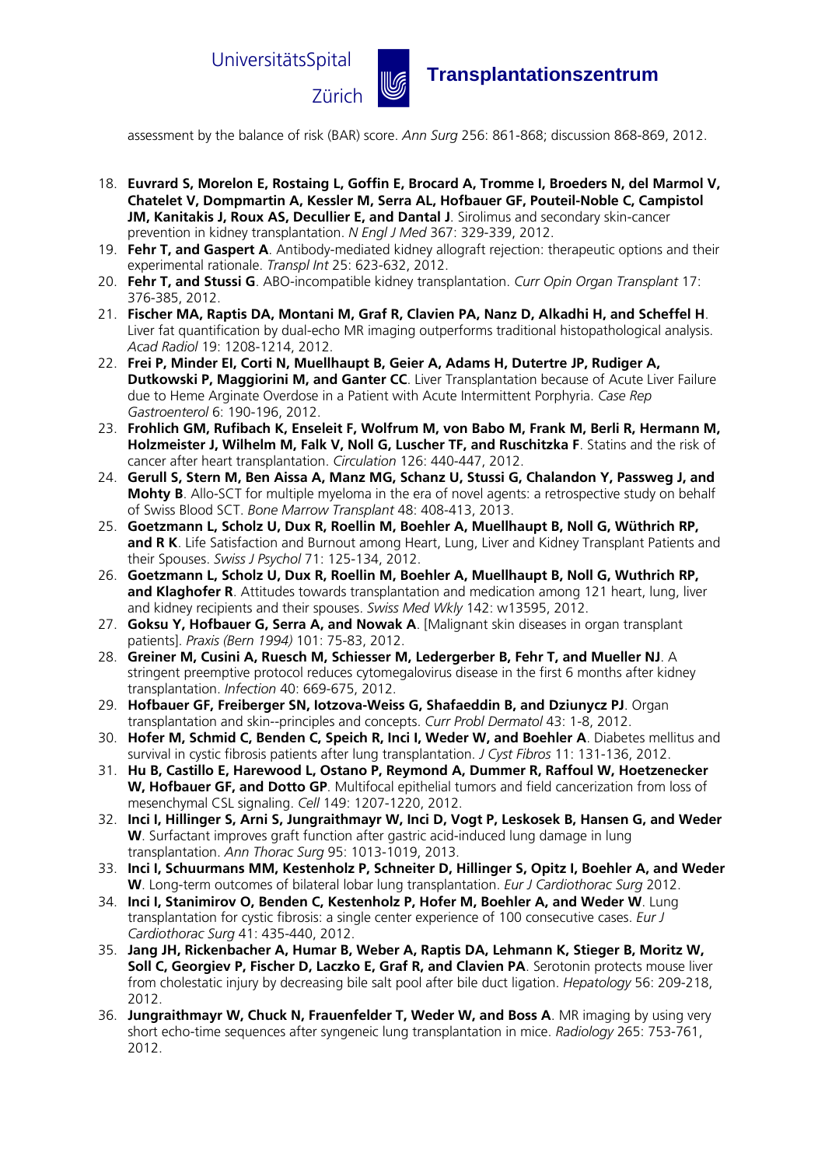

## Zürich u **Transplantationszentrum**

assessment by the balance of risk (BAR) score. *Ann Surg* 256: 861-868; discussion 868-869, 2012.

- 18. **Euvrard S, Morelon E, Rostaing L, Goffin E, Brocard A, Tromme I, Broeders N, del Marmol V, Chatelet V, Dompmartin A, Kessler M, Serra AL, Hofbauer GF, Pouteil-Noble C, Campistol JM, Kanitakis J, Roux AS, Decullier E, and Dantal J**. Sirolimus and secondary skin-cancer prevention in kidney transplantation. *N Engl J Med* 367: 329-339, 2012.
- 19. **Fehr T, and Gaspert A**. Antibody-mediated kidney allograft rejection: therapeutic options and their experimental rationale. *Transpl Int* 25: 623-632, 2012.
- 20. **Fehr T, and Stussi G**. ABO-incompatible kidney transplantation. *Curr Opin Organ Transplant* 17: 376-385, 2012.
- 21. **Fischer MA, Raptis DA, Montani M, Graf R, Clavien PA, Nanz D, Alkadhi H, and Scheffel H**. Liver fat quantification by dual-echo MR imaging outperforms traditional histopathological analysis. *Acad Radiol* 19: 1208-1214, 2012.
- 22. **Frei P, Minder EI, Corti N, Muellhaupt B, Geier A, Adams H, Dutertre JP, Rudiger A, Dutkowski P, Maggiorini M, and Ganter CC**. Liver Transplantation because of Acute Liver Failure due to Heme Arginate Overdose in a Patient with Acute Intermittent Porphyria. *Case Rep Gastroenterol* 6: 190-196, 2012.
- 23. **Frohlich GM, Rufibach K, Enseleit F, Wolfrum M, von Babo M, Frank M, Berli R, Hermann M, Holzmeister J, Wilhelm M, Falk V, Noll G, Luscher TF, and Ruschitzka F**. Statins and the risk of cancer after heart transplantation. *Circulation* 126: 440-447, 2012.
- 24. **Gerull S, Stern M, Ben Aissa A, Manz MG, Schanz U, Stussi G, Chalandon Y, Passweg J, and Mohty B**. Allo-SCT for multiple myeloma in the era of novel agents: a retrospective study on behalf of Swiss Blood SCT. *Bone Marrow Transplant* 48: 408-413, 2013.
- 25. **Goetzmann L, Scholz U, Dux R, Roellin M, Boehler A, Muellhaupt B, Noll G, Wüthrich RP,**  and R K. Life Satisfaction and Burnout among Heart, Lung, Liver and Kidney Transplant Patients and their Spouses. *Swiss J Psychol* 71: 125-134, 2012.
- 26. **Goetzmann L, Scholz U, Dux R, Roellin M, Boehler A, Muellhaupt B, Noll G, Wuthrich RP,**  and Klaghofer R. Attitudes towards transplantation and medication among 121 heart, lung, liver and kidney recipients and their spouses. *Swiss Med Wkly* 142: w13595, 2012.
- 27. **Goksu Y, Hofbauer G, Serra A, and Nowak A**. [Malignant skin diseases in organ transplant patients]. *Praxis (Bern 1994)* 101: 75-83, 2012.
- 28. **Greiner M, Cusini A, Ruesch M, Schiesser M, Ledergerber B, Fehr T, and Mueller NJ**. A stringent preemptive protocol reduces cytomegalovirus disease in the first 6 months after kidney transplantation. *Infection* 40: 669-675, 2012.
- 29. **Hofbauer GF, Freiberger SN, Iotzova-Weiss G, Shafaeddin B, and Dziunycz PJ**. Organ transplantation and skin--principles and concepts. *Curr Probl Dermatol* 43: 1-8, 2012.
- 30. **Hofer M, Schmid C, Benden C, Speich R, Inci I, Weder W, and Boehler A**. Diabetes mellitus and survival in cystic fibrosis patients after lung transplantation. *J Cyst Fibros* 11: 131-136, 2012.
- 31. **Hu B, Castillo E, Harewood L, Ostano P, Reymond A, Dummer R, Raffoul W, Hoetzenecker W, Hofbauer GF, and Dotto GP**. Multifocal epithelial tumors and field cancerization from loss of mesenchymal CSL signaling. *Cell* 149: 1207-1220, 2012.
- 32. **Inci I, Hillinger S, Arni S, Jungraithmayr W, Inci D, Vogt P, Leskosek B, Hansen G, and Weder W**. Surfactant improves graft function after gastric acid-induced lung damage in lung transplantation. *Ann Thorac Surg* 95: 1013-1019, 2013.
- 33. **Inci I, Schuurmans MM, Kestenholz P, Schneiter D, Hillinger S, Opitz I, Boehler A, and Weder W**. Long-term outcomes of bilateral lobar lung transplantation. *Eur J Cardiothorac Surg* 2012.
- 34. **Inci I, Stanimirov O, Benden C, Kestenholz P, Hofer M, Boehler A, and Weder W**. Lung transplantation for cystic fibrosis: a single center experience of 100 consecutive cases. *Eur J Cardiothorac Surg* 41: 435-440, 2012.
- 35. **Jang JH, Rickenbacher A, Humar B, Weber A, Raptis DA, Lehmann K, Stieger B, Moritz W, Soll C, Georgiev P, Fischer D, Laczko E, Graf R, and Clavien PA**. Serotonin protects mouse liver from cholestatic injury by decreasing bile salt pool after bile duct ligation. *Hepatology* 56: 209-218, 2012.
- 36. **Jungraithmayr W, Chuck N, Frauenfelder T, Weder W, and Boss A**. MR imaging by using very short echo-time sequences after syngeneic lung transplantation in mice. *Radiology* 265: 753-761, 2012.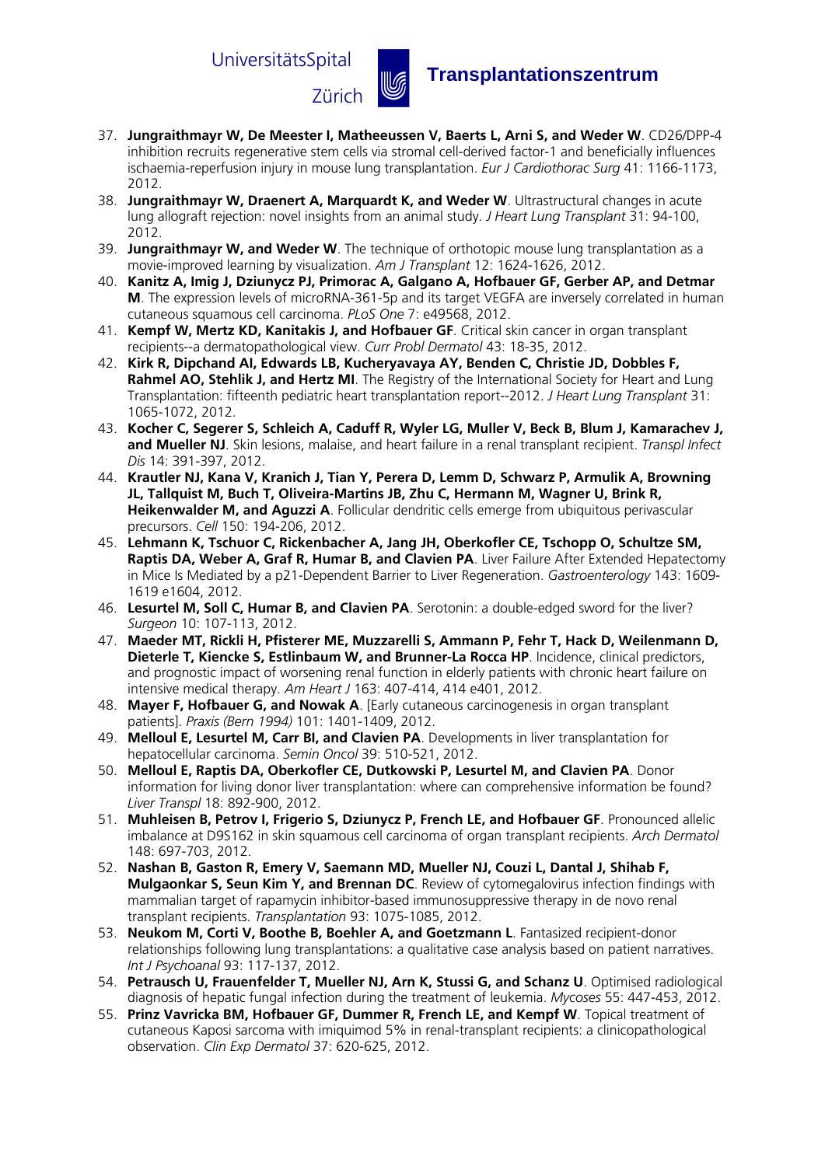

## Zürich u **Transplantationszentrum**

- 37. **Jungraithmayr W, De Meester I, Matheeussen V, Baerts L, Arni S, and Weder W**. CD26/DPP-4 inhibition recruits regenerative stem cells via stromal cell-derived factor-1 and beneficially influences ischaemia-reperfusion injury in mouse lung transplantation. *Eur J Cardiothorac Surg* 41: 1166-1173, 2012.
- 38. **Jungraithmayr W, Draenert A, Marquardt K, and Weder W**. Ultrastructural changes in acute lung allograft rejection: novel insights from an animal study. *J Heart Lung Transplant* 31: 94-100, 2012.
- 39. **Jungraithmayr W, and Weder W**. The technique of orthotopic mouse lung transplantation as a movie-improved learning by visualization. *Am J Transplant* 12: 1624-1626, 2012.
- 40. **Kanitz A, Imig J, Dziunycz PJ, Primorac A, Galgano A, Hofbauer GF, Gerber AP, and Detmar M**. The expression levels of microRNA-361-5p and its target VEGFA are inversely correlated in human cutaneous squamous cell carcinoma. *PLoS One* 7: e49568, 2012.
- 41. **Kempf W, Mertz KD, Kanitakis J, and Hofbauer GF**. Critical skin cancer in organ transplant recipients--a dermatopathological view. *Curr Probl Dermatol* 43: 18-35, 2012.
- 42. **Kirk R, Dipchand AI, Edwards LB, Kucheryavaya AY, Benden C, Christie JD, Dobbles F, Rahmel AO, Stehlik J, and Hertz MI**. The Registry of the International Society for Heart and Lung Transplantation: fifteenth pediatric heart transplantation report--2012. *J Heart Lung Transplant* 31: 1065-1072, 2012.
- 43. **Kocher C, Segerer S, Schleich A, Caduff R, Wyler LG, Muller V, Beck B, Blum J, Kamarachev J, and Mueller NJ**. Skin lesions, malaise, and heart failure in a renal transplant recipient. *Transpl Infect Dis* 14: 391-397, 2012.
- 44. **Krautler NJ, Kana V, Kranich J, Tian Y, Perera D, Lemm D, Schwarz P, Armulik A, Browning JL, Tallquist M, Buch T, Oliveira-Martins JB, Zhu C, Hermann M, Wagner U, Brink R, Heikenwalder M, and Aguzzi A**. Follicular dendritic cells emerge from ubiquitous perivascular precursors. *Cell* 150: 194-206, 2012.
- 45. **Lehmann K, Tschuor C, Rickenbacher A, Jang JH, Oberkofler CE, Tschopp O, Schultze SM, Raptis DA, Weber A, Graf R, Humar B, and Clavien PA**. Liver Failure After Extended Hepatectomy in Mice Is Mediated by a p21-Dependent Barrier to Liver Regeneration. *Gastroenterology* 143: 1609- 1619 e1604, 2012.
- 46. **Lesurtel M, Soll C, Humar B, and Clavien PA**. Serotonin: a double-edged sword for the liver? *Surgeon* 10: 107-113, 2012.
- 47. **Maeder MT, Rickli H, Pfisterer ME, Muzzarelli S, Ammann P, Fehr T, Hack D, Weilenmann D, Dieterle T, Kiencke S, Estlinbaum W, and Brunner-La Rocca HP**. Incidence, clinical predictors, and prognostic impact of worsening renal function in elderly patients with chronic heart failure on intensive medical therapy. *Am Heart J* 163: 407-414, 414 e401, 2012.
- 48. **Mayer F, Hofbauer G, and Nowak A**. [Early cutaneous carcinogenesis in organ transplant patients]. *Praxis (Bern 1994)* 101: 1401-1409, 2012.
- 49. **Melloul E, Lesurtel M, Carr BI, and Clavien PA**. Developments in liver transplantation for hepatocellular carcinoma. *Semin Oncol* 39: 510-521, 2012.
- 50. **Melloul E, Raptis DA, Oberkofler CE, Dutkowski P, Lesurtel M, and Clavien PA**. Donor information for living donor liver transplantation: where can comprehensive information be found? *Liver Transpl* 18: 892-900, 2012.
- 51. **Muhleisen B, Petrov I, Frigerio S, Dziunycz P, French LE, and Hofbauer GF**. Pronounced allelic imbalance at D9S162 in skin squamous cell carcinoma of organ transplant recipients. *Arch Dermatol*  148: 697-703, 2012.
- 52. **Nashan B, Gaston R, Emery V, Saemann MD, Mueller NJ, Couzi L, Dantal J, Shihab F, Mulgaonkar S, Seun Kim Y, and Brennan DC**. Review of cytomegalovirus infection findings with mammalian target of rapamycin inhibitor-based immunosuppressive therapy in de novo renal transplant recipients. *Transplantation* 93: 1075-1085, 2012.
- 53. **Neukom M, Corti V, Boothe B, Boehler A, and Goetzmann L**. Fantasized recipient-donor relationships following lung transplantations: a qualitative case analysis based on patient narratives. *Int J Psychoanal* 93: 117-137, 2012.
- 54. **Petrausch U, Frauenfelder T, Mueller NJ, Arn K, Stussi G, and Schanz U**. Optimised radiological diagnosis of hepatic fungal infection during the treatment of leukemia. *Mycoses* 55: 447-453, 2012.
- 55. **Prinz Vavricka BM, Hofbauer GF, Dummer R, French LE, and Kempf W**. Topical treatment of cutaneous Kaposi sarcoma with imiquimod 5% in renal-transplant recipients: a clinicopathological observation. *Clin Exp Dermatol* 37: 620-625, 2012.